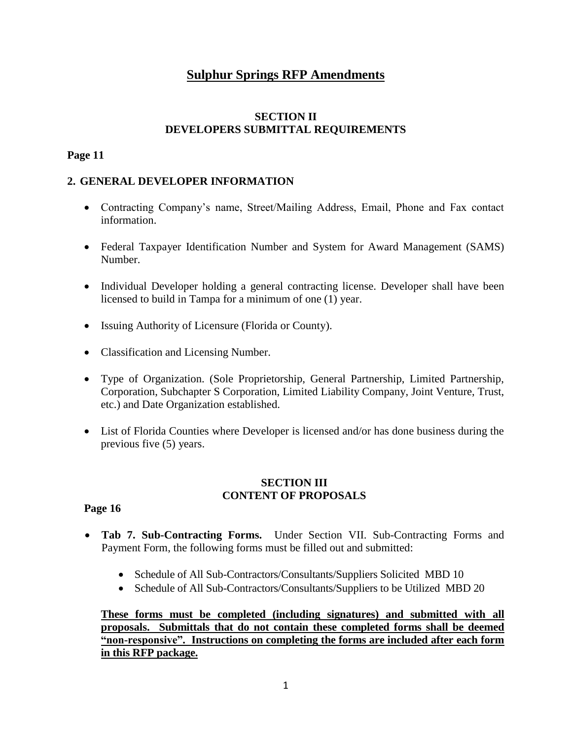# **Sulphur Springs RFP Amendments**

# **SECTION II DEVELOPERS SUBMITTAL REQUIREMENTS**

## **Page 11**

# **2. GENERAL DEVELOPER INFORMATION**

- Contracting Company's name, Street/Mailing Address, Email, Phone and Fax contact information.
- Federal Taxpayer Identification Number and System for Award Management (SAMS) Number.
- Individual Developer holding a general contracting license. Developer shall have been licensed to build in Tampa for a minimum of one (1) year.
- Issuing Authority of Licensure (Florida or County).
- Classification and Licensing Number.
- Type of Organization. (Sole Proprietorship, General Partnership, Limited Partnership, Corporation, Subchapter S Corporation, Limited Liability Company, Joint Venture, Trust, etc.) and Date Organization established.
- List of Florida Counties where Developer is licensed and/or has done business during the previous five (5) years.

## **SECTION III CONTENT OF PROPOSALS**

### **Page 16**

- **Tab 7. Sub-Contracting Forms.** Under Section VII. Sub-Contracting Forms and Payment Form, the following forms must be filled out and submitted:
	- Schedule of All Sub-Contractors/Consultants/Suppliers Solicited MBD 10
	- Schedule of All Sub-Contractors/Consultants/Suppliers to be Utilized MBD 20

**These forms must be completed (including signatures) and submitted with all proposals. Submittals that do not contain these completed forms shall be deemed "non-responsive". Instructions on completing the forms are included after each form in this RFP package.**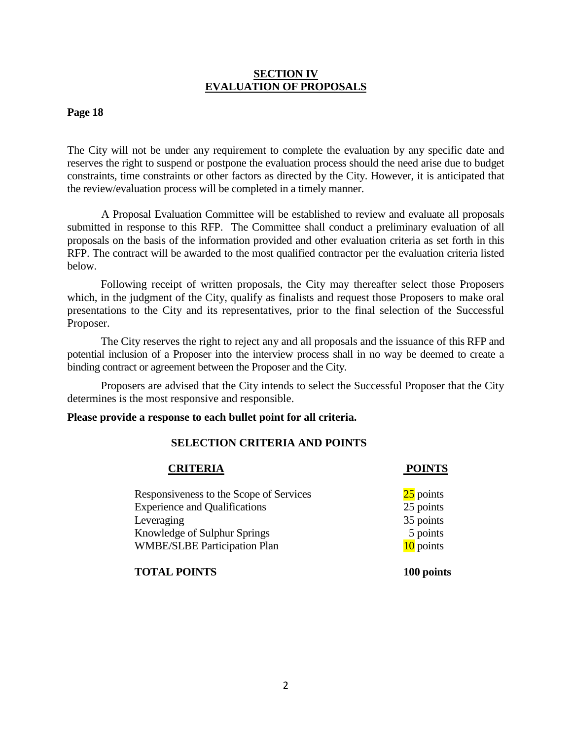### **SECTION IV EVALUATION OF PROPOSALS**

#### **Page 18**

The City will not be under any requirement to complete the evaluation by any specific date and reserves the right to suspend or postpone the evaluation process should the need arise due to budget constraints, time constraints or other factors as directed by the City. However, it is anticipated that the review/evaluation process will be completed in a timely manner.

A Proposal Evaluation Committee will be established to review and evaluate all proposals submitted in response to this RFP. The Committee shall conduct a preliminary evaluation of all proposals on the basis of the information provided and other evaluation criteria as set forth in this RFP. The contract will be awarded to the most qualified contractor per the evaluation criteria listed below.

Following receipt of written proposals, the City may thereafter select those Proposers which, in the judgment of the City, qualify as finalists and request those Proposers to make oral presentations to the City and its representatives, prior to the final selection of the Successful Proposer.

The City reserves the right to reject any and all proposals and the issuance of this RFP and potential inclusion of a Proposer into the interview process shall in no way be deemed to create a binding contract or agreement between the Proposer and the City.

Proposers are advised that the City intends to select the Successful Proposer that the City determines is the most responsive and responsible.

#### **Please provide a response to each bullet point for all criteria.**

#### **SELECTION CRITERIA AND POINTS**

| <b>CRITERIA</b>                         | <b>POINTS</b> |
|-----------------------------------------|---------------|
| Responsiveness to the Scope of Services | $25$ points   |
| <b>Experience and Qualifications</b>    | 25 points     |
| Leveraging                              | 35 points     |
| Knowledge of Sulphur Springs            | 5 points      |
| <b>WMBE/SLBE Participation Plan</b>     | 10 points     |
| <b>TOTAL POINTS</b>                     | 100 points    |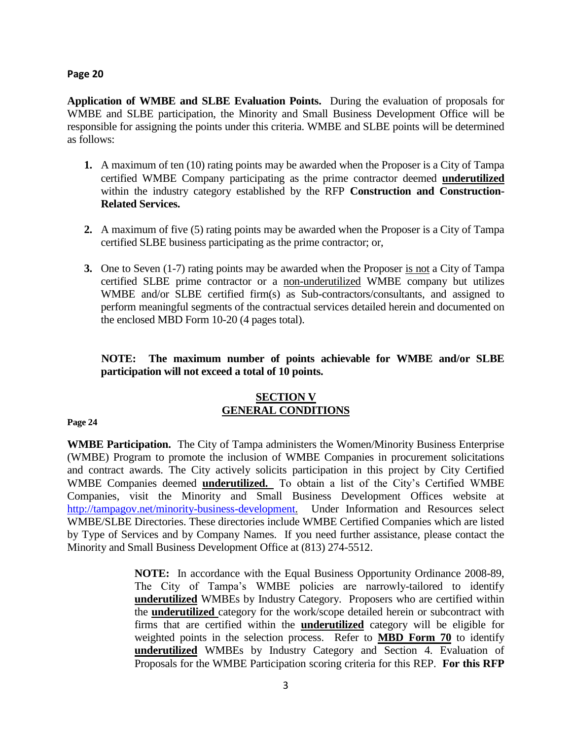#### **Page 20**

**Application of WMBE and SLBE Evaluation Points.** During the evaluation of proposals for WMBE and SLBE participation, the Minority and Small Business Development Office will be responsible for assigning the points under this criteria. WMBE and SLBE points will be determined as follows:

- **1.** A maximum of ten (10) rating points may be awarded when the Proposer is a City of Tampa certified WMBE Company participating as the prime contractor deemed **underutilized** within the industry category established by the RFP **Construction and Construction-Related Services.**
- **2.** A maximum of five (5) rating points may be awarded when the Proposer is a City of Tampa certified SLBE business participating as the prime contractor; or,
- **3.** One to Seven (1-7) rating points may be awarded when the Proposer is not a City of Tampa certified SLBE prime contractor or a non-underutilized WMBE company but utilizes WMBE and/or SLBE certified firm(s) as Sub-contractors/consultants, and assigned to perform meaningful segments of the contractual services detailed herein and documented on the enclosed MBD Form 10-20 (4 pages total).

# **NOTE: The maximum number of points achievable for WMBE and/or SLBE participation will not exceed a total of 10 points.**

# **SECTION V GENERAL CONDITIONS**

#### **Page 24**

**WMBE Participation.** The City of Tampa administers the Women/Minority Business Enterprise (WMBE) Program to promote the inclusion of WMBE Companies in procurement solicitations and contract awards. The City actively solicits participation in this project by City Certified WMBE Companies deemed **underutilized.** To obtain a list of the City's Certified WMBE Companies, visit the Minority and Small Business Development Offices website at [http://tampagov.net/minority-business-development.](http://tampagov.net/minority-business-development) Under Information and Resources select WMBE/SLBE Directories. These directories include WMBE Certified Companies which are listed by Type of Services and by Company Names. If you need further assistance, please contact the Minority and Small Business Development Office at (813) 274-5512.

> **NOTE:** In accordance with the Equal Business Opportunity Ordinance 2008-89, The City of Tampa's WMBE policies are narrowly-tailored to identify **underutilized** WMBEs by Industry Category. Proposers who are certified within the **underutilized** category for the work/scope detailed herein or subcontract with firms that are certified within the **underutilized** category will be eligible for weighted points in the selection process. Refer to **MBD Form 70** to identify **underutilized** WMBEs by Industry Category and Section 4. Evaluation of Proposals for the WMBE Participation scoring criteria for this REP. **For this RFP**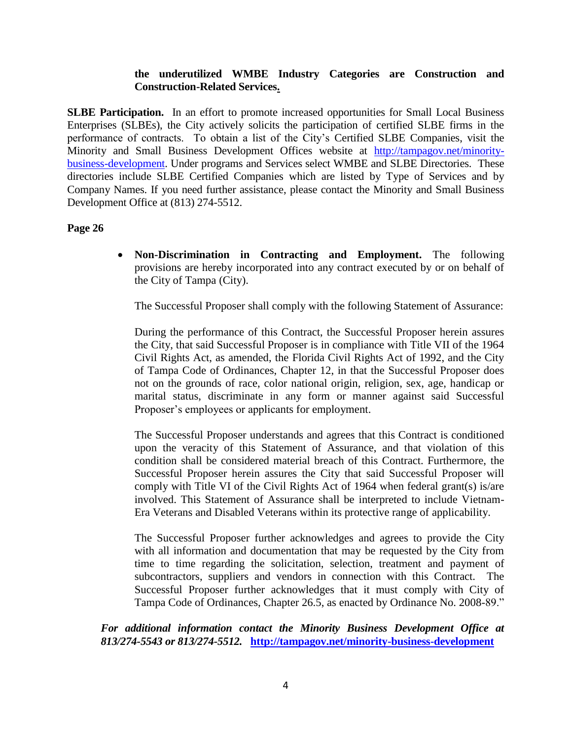## **the underutilized WMBE Industry Categories are Construction and Construction-Related Services.**

**SLBE Participation.** In an effort to promote increased opportunities for Small Local Business Enterprises (SLBEs), the City actively solicits the participation of certified SLBE firms in the performance of contracts. To obtain a list of the City's Certified SLBE Companies, visit the Minority and Small Business Development Offices website at [http://tampagov.net/minority](http://tampagov.net/minority-business-development)[business-development.](http://tampagov.net/minority-business-development) Under programs and Services select WMBE and SLBE Directories. These directories include SLBE Certified Companies which are listed by Type of Services and by Company Names. If you need further assistance, please contact the Minority and Small Business Development Office at (813) 274-5512.

### **Page 26**

 **Non-Discrimination in Contracting and Employment.** The following provisions are hereby incorporated into any contract executed by or on behalf of the City of Tampa (City).

The Successful Proposer shall comply with the following Statement of Assurance:

During the performance of this Contract, the Successful Proposer herein assures the City, that said Successful Proposer is in compliance with Title VII of the 1964 Civil Rights Act, as amended, the Florida Civil Rights Act of 1992, and the City of Tampa Code of Ordinances, Chapter 12, in that the Successful Proposer does not on the grounds of race, color national origin, religion, sex, age, handicap or marital status, discriminate in any form or manner against said Successful Proposer's employees or applicants for employment.

The Successful Proposer understands and agrees that this Contract is conditioned upon the veracity of this Statement of Assurance, and that violation of this condition shall be considered material breach of this Contract. Furthermore, the Successful Proposer herein assures the City that said Successful Proposer will comply with Title VI of the Civil Rights Act of 1964 when federal grant(s) is/are involved. This Statement of Assurance shall be interpreted to include Vietnam-Era Veterans and Disabled Veterans within its protective range of applicability.

The Successful Proposer further acknowledges and agrees to provide the City with all information and documentation that may be requested by the City from time to time regarding the solicitation, selection, treatment and payment of subcontractors, suppliers and vendors in connection with this Contract. The Successful Proposer further acknowledges that it must comply with City of Tampa Code of Ordinances, Chapter 26.5, as enacted by Ordinance No. 2008-89."

*For additional information contact the Minority Business Development Office at 813/274-5543 or 813/274-5512.* **<http://tampagov.net/minority-business-development>**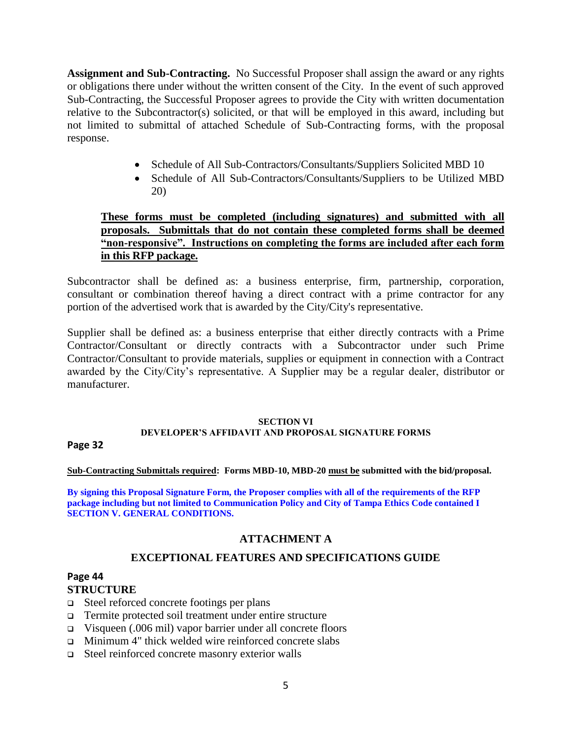**Assignment and Sub-Contracting.** No Successful Proposer shall assign the award or any rights or obligations there under without the written consent of the City. In the event of such approved Sub-Contracting, the Successful Proposer agrees to provide the City with written documentation relative to the Subcontractor(s) solicited, or that will be employed in this award, including but not limited to submittal of attached Schedule of Sub-Contracting forms, with the proposal response.

- Schedule of All Sub-Contractors/Consultants/Suppliers Solicited MBD 10
- Schedule of All Sub-Contractors/Consultants/Suppliers to be Utilized MBD 20)

# **These forms must be completed (including signatures) and submitted with all proposals. Submittals that do not contain these completed forms shall be deemed "non-responsive". Instructions on completing the forms are included after each form in this RFP package.**

Subcontractor shall be defined as: a business enterprise, firm, partnership, corporation, consultant or combination thereof having a direct contract with a prime contractor for any portion of the advertised work that is awarded by the City/City's representative.

Supplier shall be defined as: a business enterprise that either directly contracts with a Prime Contractor/Consultant or directly contracts with a Subcontractor under such Prime Contractor/Consultant to provide materials, supplies or equipment in connection with a Contract awarded by the City/City's representative. A Supplier may be a regular dealer, distributor or manufacturer.

#### **SECTION VI**

#### **DEVELOPER'S AFFIDAVIT AND PROPOSAL SIGNATURE FORMS**

**Page 32**

#### **Sub-Contracting Submittals required: Forms MBD-10, MBD-20 must be submitted with the bid/proposal.**

**By signing this Proposal Signature Form, the Proposer complies with all of the requirements of the RFP package including but not limited to Communication Policy and City of Tampa Ethics Code contained I SECTION V. GENERAL CONDITIONS.**

# **ATTACHMENT A**

# **EXCEPTIONAL FEATURES AND SPECIFICATIONS GUIDE**

# **Page 44**

# **STRUCTURE**

- $\Box$  Steel reforced concrete footings per plans
- Termite protected soil treatment under entire structure
- Visqueen (.006 mil) vapor barrier under all concrete floors
- Minimum 4" thick welded wire reinforced concrete slabs
- Steel reinforced concrete masonry exterior walls